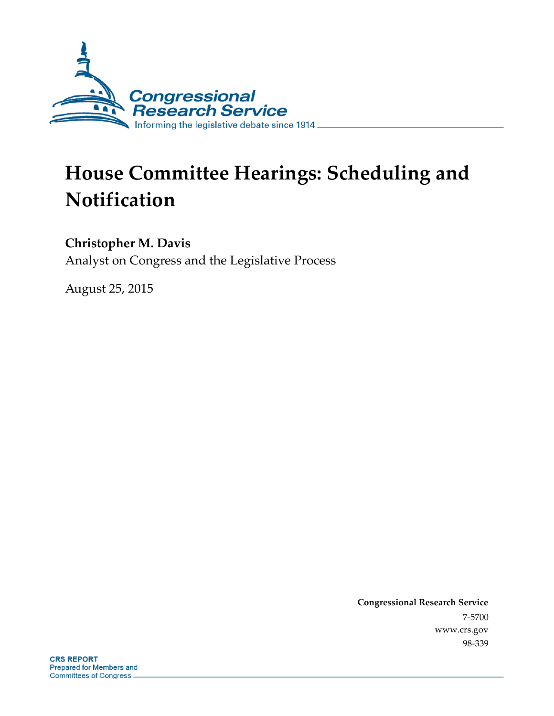

# **House Committee Hearings: Scheduling and Notification**

#### **Christopher M. Davis**

Analyst on Congress and the Legislative Process

August 25, 2015

**Congressional Research Service** 7-5700 www.crs.gov 98-339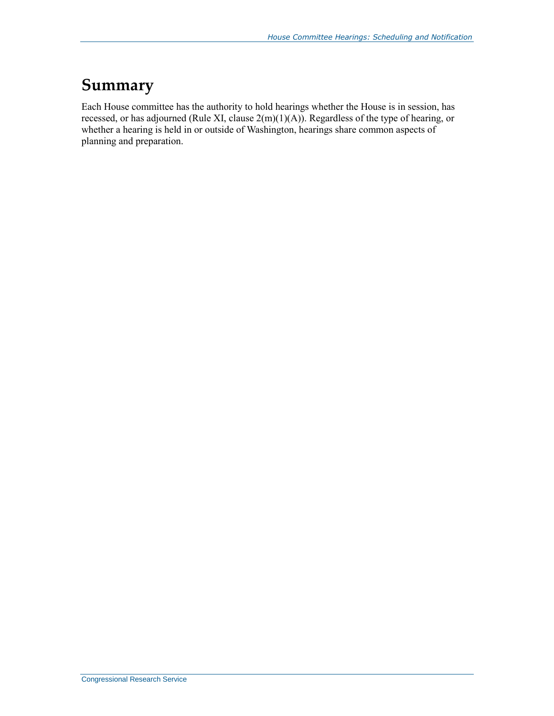### **Summary**

Each House committee has the authority to hold hearings whether the House is in session, has recessed, or has adjourned (Rule XI, clause 2(m)(1)(A)). Regardless of the type of hearing, or whether a hearing is held in or outside of Washington, hearings share common aspects of planning and preparation.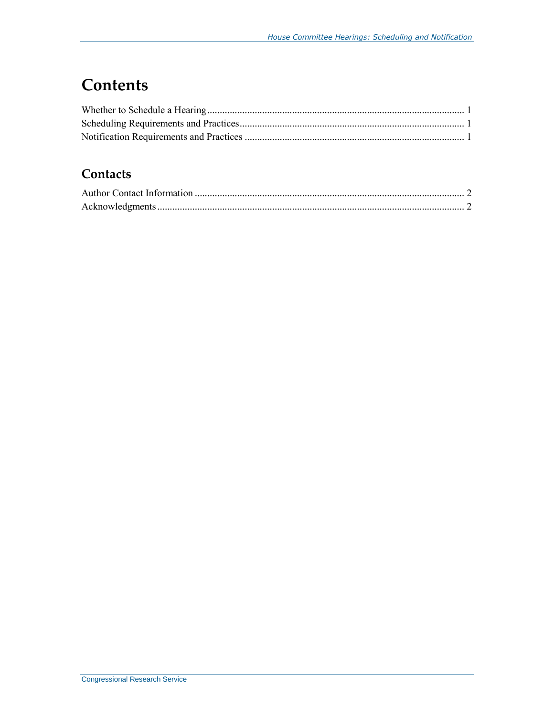### **Contents**

#### **Contacts**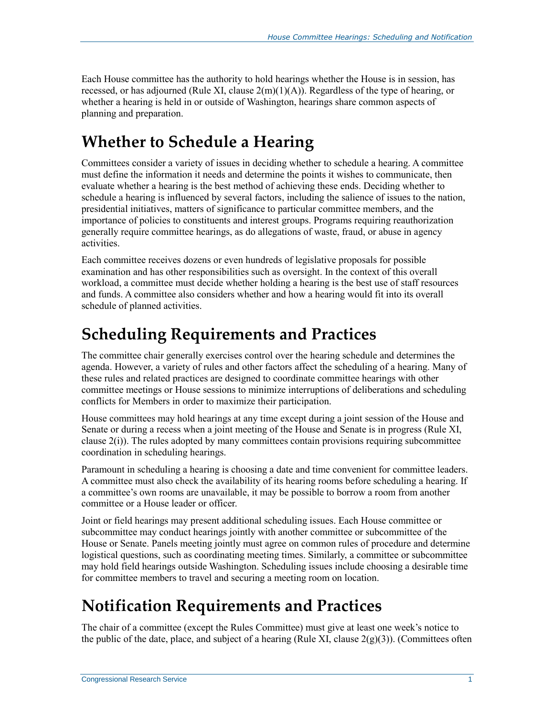Each House committee has the authority to hold hearings whether the House is in session, has recessed, or has adjourned (Rule XI, clause  $2(m)(1)(A)$ ). Regardless of the type of hearing, or whether a hearing is held in or outside of Washington, hearings share common aspects of planning and preparation.

## **Whether to Schedule a Hearing**

Committees consider a variety of issues in deciding whether to schedule a hearing. A committee must define the information it needs and determine the points it wishes to communicate, then evaluate whether a hearing is the best method of achieving these ends. Deciding whether to schedule a hearing is influenced by several factors, including the salience of issues to the nation, presidential initiatives, matters of significance to particular committee members, and the importance of policies to constituents and interest groups. Programs requiring reauthorization generally require committee hearings, as do allegations of waste, fraud, or abuse in agency activities.

Each committee receives dozens or even hundreds of legislative proposals for possible examination and has other responsibilities such as oversight. In the context of this overall workload, a committee must decide whether holding a hearing is the best use of staff resources and funds. A committee also considers whether and how a hearing would fit into its overall schedule of planned activities.

### **Scheduling Requirements and Practices**

The committee chair generally exercises control over the hearing schedule and determines the agenda. However, a variety of rules and other factors affect the scheduling of a hearing. Many of these rules and related practices are designed to coordinate committee hearings with other committee meetings or House sessions to minimize interruptions of deliberations and scheduling conflicts for Members in order to maximize their participation.

House committees may hold hearings at any time except during a joint session of the House and Senate or during a recess when a joint meeting of the House and Senate is in progress (Rule XI, clause 2(i)). The rules adopted by many committees contain provisions requiring subcommittee coordination in scheduling hearings.

Paramount in scheduling a hearing is choosing a date and time convenient for committee leaders. A committee must also check the availability of its hearing rooms before scheduling a hearing. If a committee's own rooms are unavailable, it may be possible to borrow a room from another committee or a House leader or officer.

Joint or field hearings may present additional scheduling issues. Each House committee or subcommittee may conduct hearings jointly with another committee or subcommittee of the House or Senate. Panels meeting jointly must agree on common rules of procedure and determine logistical questions, such as coordinating meeting times. Similarly, a committee or subcommittee may hold field hearings outside Washington. Scheduling issues include choosing a desirable time for committee members to travel and securing a meeting room on location.

### **Notification Requirements and Practices**

The chair of a committee (except the Rules Committee) must give at least one week's notice to the public of the date, place, and subject of a hearing (Rule XI, clause  $2(g)(3)$ ). (Committees often